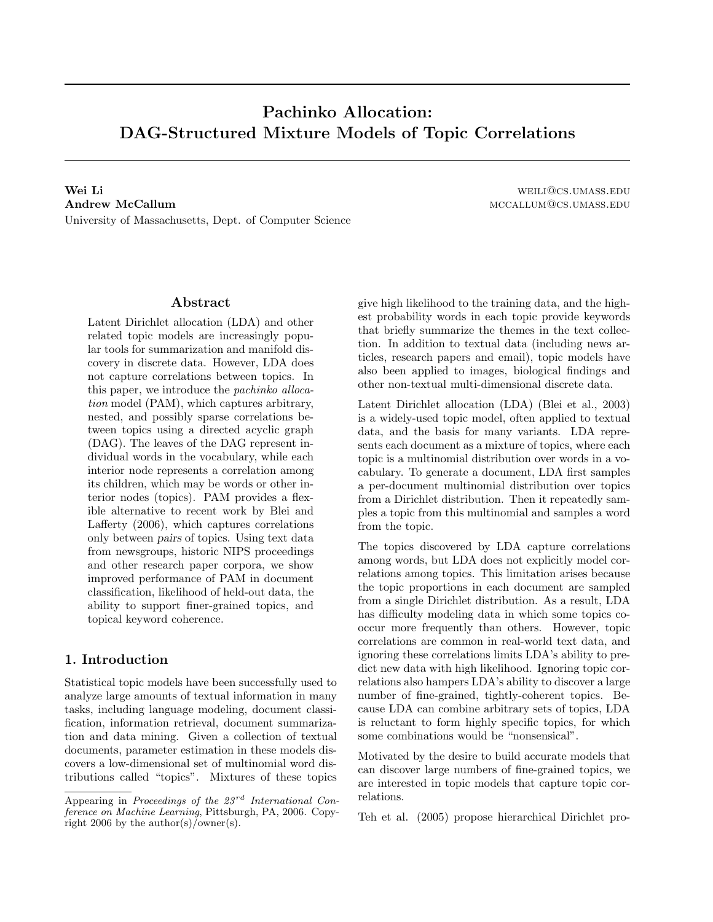# Pachinko Allocation: DAG-Structured Mixture Models of Topic Correlations

Wei Li weilidiges.umass.edu Andrew McCallum materials and the contract of the method of the method method of the method method method method method method method method method method method method method method method method method method method meth University of Massachusetts, Dept. of Computer Science

## Abstract

Latent Dirichlet allocation (LDA) and other related topic models are increasingly popular tools for summarization and manifold discovery in discrete data. However, LDA does not capture correlations between topics. In this paper, we introduce the pachinko allocation model (PAM), which captures arbitrary, nested, and possibly sparse correlations between topics using a directed acyclic graph (DAG). The leaves of the DAG represent individual words in the vocabulary, while each interior node represents a correlation among its children, which may be words or other interior nodes (topics). PAM provides a flexible alternative to recent work by Blei and Lafferty (2006), which captures correlations only between pairs of topics. Using text data from newsgroups, historic NIPS proceedings and other research paper corpora, we show improved performance of PAM in document classification, likelihood of held-out data, the ability to support finer-grained topics, and topical keyword coherence.

## 1. Introduction

Statistical topic models have been successfully used to analyze large amounts of textual information in many tasks, including language modeling, document classification, information retrieval, document summarization and data mining. Given a collection of textual documents, parameter estimation in these models discovers a low-dimensional set of multinomial word distributions called "topics". Mixtures of these topics give high likelihood to the training data, and the highest probability words in each topic provide keywords that briefly summarize the themes in the text collection. In addition to textual data (including news articles, research papers and email), topic models have also been applied to images, biological findings and other non-textual multi-dimensional discrete data.

Latent Dirichlet allocation (LDA) (Blei et al., 2003) is a widely-used topic model, often applied to textual data, and the basis for many variants. LDA represents each document as a mixture of topics, where each topic is a multinomial distribution over words in a vocabulary. To generate a document, LDA first samples a per-document multinomial distribution over topics from a Dirichlet distribution. Then it repeatedly samples a topic from this multinomial and samples a word from the topic.

The topics discovered by LDA capture correlations among words, but LDA does not explicitly model correlations among topics. This limitation arises because the topic proportions in each document are sampled from a single Dirichlet distribution. As a result, LDA has difficulty modeling data in which some topics cooccur more frequently than others. However, topic correlations are common in real-world text data, and ignoring these correlations limits LDA's ability to predict new data with high likelihood. Ignoring topic correlations also hampers LDA's ability to discover a large number of fine-grained, tightly-coherent topics. Because LDA can combine arbitrary sets of topics, LDA is reluctant to form highly specific topics, for which some combinations would be "nonsensical".

Motivated by the desire to build accurate models that can discover large numbers of fine-grained topics, we are interested in topic models that capture topic correlations.

Teh et al. (2005) propose hierarchical Dirichlet pro-

Appearing in Proceedings of the  $23^{rd}$  International Conference on Machine Learning, Pittsburgh, PA, 2006. Copyright 2006 by the author(s)/owner(s).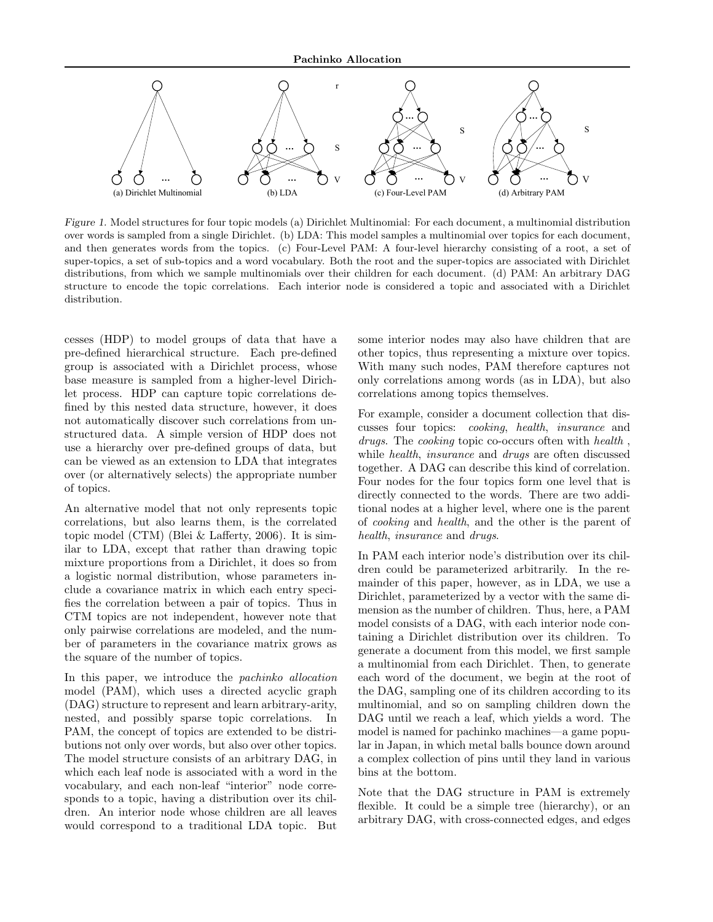

Figure 1. Model structures for four topic models (a) Dirichlet Multinomial: For each document, a multinomial distribution over words is sampled from a single Dirichlet. (b) LDA: This model samples a multinomial over topics for each document, and then generates words from the topics. (c) Four-Level PAM: A four-level hierarchy consisting of a root, a set of super-topics, a set of sub-topics and a word vocabulary. Both the root and the super-topics are associated with Dirichlet distributions, from which we sample multinomials over their children for each document. (d) PAM: An arbitrary DAG structure to encode the topic correlations. Each interior node is considered a topic and associated with a Dirichlet distribution.

cesses (HDP) to model groups of data that have a pre-defined hierarchical structure. Each pre-defined group is associated with a Dirichlet process, whose base measure is sampled from a higher-level Dirichlet process. HDP can capture topic correlations defined by this nested data structure, however, it does not automatically discover such correlations from unstructured data. A simple version of HDP does not use a hierarchy over pre-defined groups of data, but can be viewed as an extension to LDA that integrates over (or alternatively selects) the appropriate number of topics.

An alternative model that not only represents topic correlations, but also learns them, is the correlated topic model (CTM) (Blei & Lafferty, 2006). It is similar to LDA, except that rather than drawing topic mixture proportions from a Dirichlet, it does so from a logistic normal distribution, whose parameters include a covariance matrix in which each entry specifies the correlation between a pair of topics. Thus in CTM topics are not independent, however note that only pairwise correlations are modeled, and the number of parameters in the covariance matrix grows as the square of the number of topics.

In this paper, we introduce the pachinko allocation model (PAM), which uses a directed acyclic graph (DAG) structure to represent and learn arbitrary-arity, nested, and possibly sparse topic correlations. In PAM, the concept of topics are extended to be distributions not only over words, but also over other topics. The model structure consists of an arbitrary DAG, in which each leaf node is associated with a word in the vocabulary, and each non-leaf "interior" node corresponds to a topic, having a distribution over its children. An interior node whose children are all leaves would correspond to a traditional LDA topic. But

some interior nodes may also have children that are other topics, thus representing a mixture over topics. With many such nodes, PAM therefore captures not only correlations among words (as in LDA), but also correlations among topics themselves.

For example, consider a document collection that discusses four topics: cooking, health, insurance and drugs. The cooking topic co-occurs often with health , while *health*, *insurance* and *drugs* are often discussed together. A DAG can describe this kind of correlation. Four nodes for the four topics form one level that is directly connected to the words. There are two additional nodes at a higher level, where one is the parent of cooking and health, and the other is the parent of health, insurance and drugs.

In PAM each interior node's distribution over its children could be parameterized arbitrarily. In the remainder of this paper, however, as in LDA, we use a Dirichlet, parameterized by a vector with the same dimension as the number of children. Thus, here, a PAM model consists of a DAG, with each interior node containing a Dirichlet distribution over its children. To generate a document from this model, we first sample a multinomial from each Dirichlet. Then, to generate each word of the document, we begin at the root of the DAG, sampling one of its children according to its multinomial, and so on sampling children down the DAG until we reach a leaf, which yields a word. The model is named for pachinko machines—a game popular in Japan, in which metal balls bounce down around a complex collection of pins until they land in various bins at the bottom.

Note that the DAG structure in PAM is extremely flexible. It could be a simple tree (hierarchy), or an arbitrary DAG, with cross-connected edges, and edges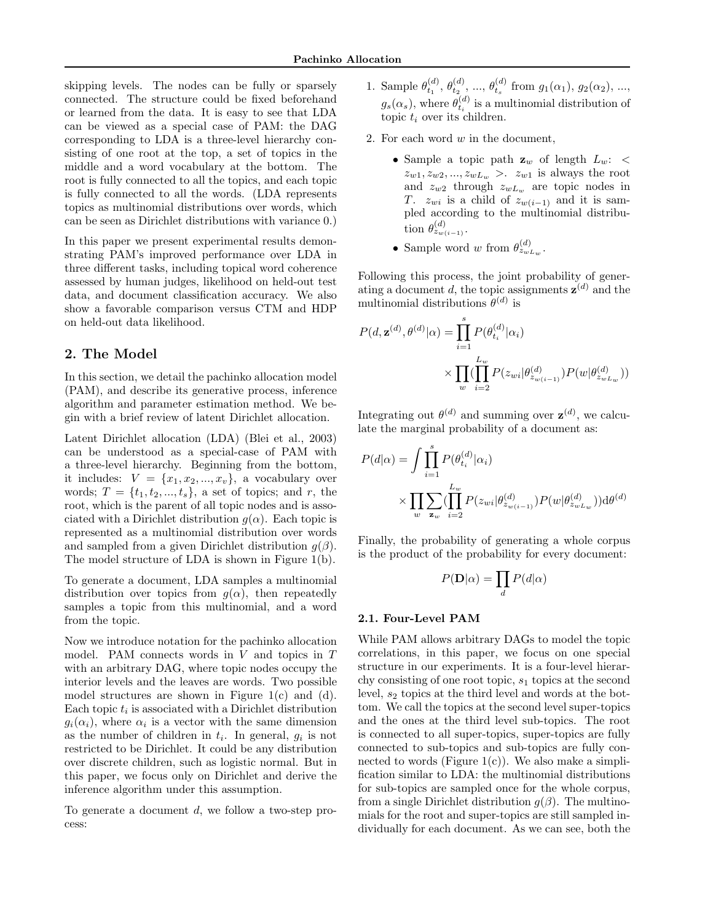skipping levels. The nodes can be fully or sparsely connected. The structure could be fixed beforehand or learned from the data. It is easy to see that LDA can be viewed as a special case of PAM: the DAG corresponding to LDA is a three-level hierarchy consisting of one root at the top, a set of topics in the middle and a word vocabulary at the bottom. The root is fully connected to all the topics, and each topic is fully connected to all the words. (LDA represents topics as multinomial distributions over words, which can be seen as Dirichlet distributions with variance 0.)

In this paper we present experimental results demonstrating PAM's improved performance over LDA in three different tasks, including topical word coherence assessed by human judges, likelihood on held-out test data, and document classification accuracy. We also show a favorable comparison versus CTM and HDP on held-out data likelihood.

## 2. The Model

In this section, we detail the pachinko allocation model (PAM), and describe its generative process, inference algorithm and parameter estimation method. We begin with a brief review of latent Dirichlet allocation.

Latent Dirichlet allocation (LDA) (Blei et al., 2003) can be understood as a special-case of PAM with a three-level hierarchy. Beginning from the bottom, it includes:  $V = \{x_1, x_2, ..., x_v\}$ , a vocabulary over words;  $T = \{t_1, t_2, ..., t_s\}$ , a set of topics; and r, the root, which is the parent of all topic nodes and is associated with a Dirichlet distribution  $q(\alpha)$ . Each topic is represented as a multinomial distribution over words and sampled from a given Dirichlet distribution  $q(\beta)$ . The model structure of LDA is shown in Figure 1(b).

To generate a document, LDA samples a multinomial distribution over topics from  $g(\alpha)$ , then repeatedly samples a topic from this multinomial, and a word from the topic.

Now we introduce notation for the pachinko allocation model. PAM connects words in  $V$  and topics in  $T$ with an arbitrary DAG, where topic nodes occupy the interior levels and the leaves are words. Two possible model structures are shown in Figure 1(c) and (d). Each topic  $t_i$  is associated with a Dirichlet distribution  $g_i(\alpha_i)$ , where  $\alpha_i$  is a vector with the same dimension as the number of children in  $t_i$ . In general,  $g_i$  is not restricted to be Dirichlet. It could be any distribution over discrete children, such as logistic normal. But in this paper, we focus only on Dirichlet and derive the inference algorithm under this assumption.

To generate a document  $d$ , we follow a two-step process:

- 1. Sample  $\theta_{t_1}^{(d)}$ ,  $\theta_{t_2}^{(d)}$ , ...,  $\theta_{t_s}^{(d)}$  from  $g_1(\alpha_1)$ ,  $g_2(\alpha_2)$ , ...,  $g_s(\alpha_s)$ , where  $\theta_{t_i}^{(d)}$  is a multinomial distribution of topic  $t_i$  over its children.
- 2. For each word  $w$  in the document,
	- $\bullet$  Sample a topic path  $\mathbf{z}_w$  of length  $L_w\colon <$  $z_{w1}, z_{w2}, \ldots, z_{wL_w} > c_{w1}$  is always the root and  $z_{w2}$  through  $z_{wL_w}$  are topic nodes in T.  $z_{wi}$  is a child of  $z_{w(i-1)}$  and it is sampled according to the multinomial distribution  $\theta_{z_{w(i-1)}}^{(d)}$ .
	- Sample word w from  $\theta_{z_{wL_w}}^{(d)}$ .

Following this process, the joint probability of generating a document d, the topic assignments  $z^{(d)}$  and the multinomial distributions  $\theta^{(d)}$  is

$$
P(d, \mathbf{z}^{(d)}, \theta^{(d)} | \alpha) = \prod_{i=1}^{s} P(\theta_{t_i}^{(d)} | \alpha_i)
$$

$$
\times \prod_{w} (\prod_{i=2}^{L_w} P(z_{wi} | \theta_{z_{w(i-1)}}^{(d)} ) P(w | \theta_{z_{wL_w}}^{(d)}))
$$

Integrating out  $\theta^{(d)}$  and summing over  $\mathbf{z}^{(d)}$ , we calculate the marginal probability of a document as:

$$
P(d|\alpha) = \int \prod_{i=1}^{s} P(\theta_{t_i}^{(d)}|\alpha_i)
$$
  
 
$$
\times \prod_{w} \sum_{z_w} (\prod_{i=2}^{L_w} P(z_{wi}|\theta_{z_{w(i-1)}}^{(d)}) P(w|\theta_{z_{wL_w}}^{(d)})) d\theta^{(d)}
$$

Finally, the probability of generating a whole corpus is the product of the probability for every document:

$$
P(\mathbf{D}|\alpha) = \prod_d P(d|\alpha)
$$

#### 2.1. Four-Level PAM

While PAM allows arbitrary DAGs to model the topic correlations, in this paper, we focus on one special structure in our experiments. It is a four-level hierarchy consisting of one root topic,  $s_1$  topics at the second level,  $s_2$  topics at the third level and words at the bottom. We call the topics at the second level super-topics and the ones at the third level sub-topics. The root is connected to all super-topics, super-topics are fully connected to sub-topics and sub-topics are fully connected to words (Figure  $1(c)$ ). We also make a simplification similar to LDA: the multinomial distributions for sub-topics are sampled once for the whole corpus, from a single Dirichlet distribution  $g(\beta)$ . The multinomials for the root and super-topics are still sampled individually for each document. As we can see, both the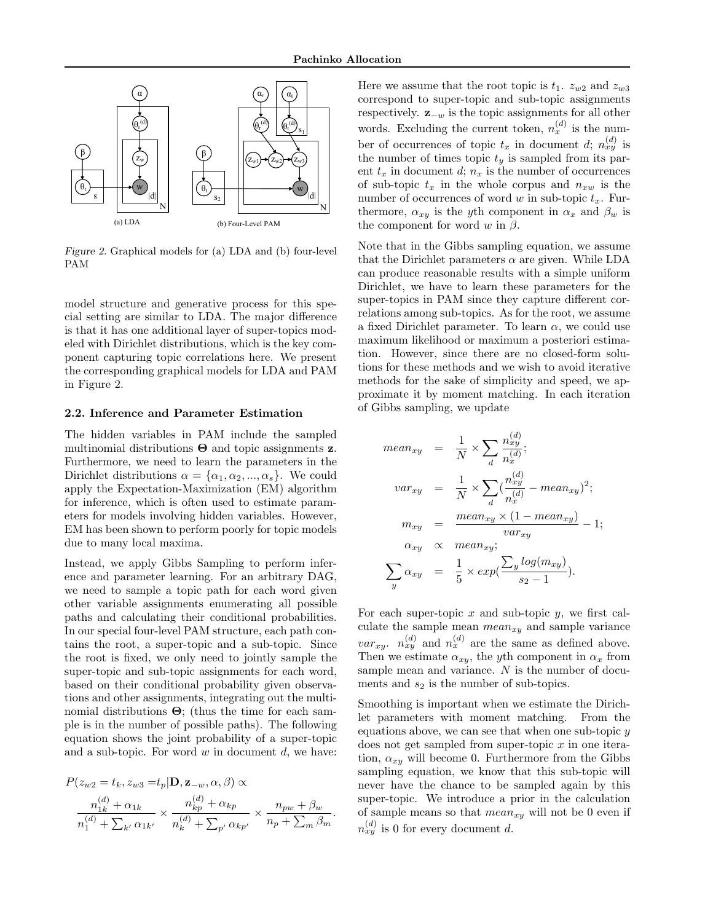

Figure 2. Graphical models for (a) LDA and (b) four-level PAM

model structure and generative process for this special setting are similar to LDA. The major difference is that it has one additional layer of super-topics modeled with Dirichlet distributions, which is the key component capturing topic correlations here. We present the corresponding graphical models for LDA and PAM in Figure 2.

#### 2.2. Inference and Parameter Estimation

The hidden variables in PAM include the sampled multinomial distributions  $\Theta$  and topic assignments **z**. Furthermore, we need to learn the parameters in the Dirichlet distributions  $\alpha = {\alpha_1, \alpha_2, ..., \alpha_s}$ . We could apply the Expectation-Maximization (EM) algorithm for inference, which is often used to estimate parameters for models involving hidden variables. However, EM has been shown to perform poorly for topic models due to many local maxima.

Instead, we apply Gibbs Sampling to perform inference and parameter learning. For an arbitrary DAG, we need to sample a topic path for each word given other variable assignments enumerating all possible paths and calculating their conditional probabilities. In our special four-level PAM structure, each path contains the root, a super-topic and a sub-topic. Since the root is fixed, we only need to jointly sample the super-topic and sub-topic assignments for each word, based on their conditional probability given observations and other assignments, integrating out the multinomial distributions  $\Theta$ ; (thus the time for each sample is in the number of possible paths). The following equation shows the joint probability of a super-topic and a sub-topic. For word  $w$  in document  $d$ , we have:

$$
P(z_{w2} = t_k, z_{w3} = t_p | \mathbf{D}, \mathbf{z}_{-w}, \alpha, \beta) \propto
$$

$$
\frac{n_{1k}^{(d)} + \alpha_{1k}}{n_1^{(d)} + \sum_{k'} \alpha_{1k'}} \times \frac{n_{kp}^{(d)} + \alpha_{kp}}{n_k^{(d)} + \sum_{p'} \alpha_{kp'}} \times \frac{n_{pw} + \beta_w}{n_p + \sum_m \beta_m}
$$

.

Here we assume that the root topic is  $t_1$ .  $z_{w2}$  and  $z_{w3}$ correspond to super-topic and sub-topic assignments respectively.  $\mathbf{z}_{-w}$  is the topic assignments for all other words. Excluding the current token,  $n_x^{(d)}$  is the number of occurrences of topic  $t_x$  in document d;  $n_{xy}^{(d)}$  is the number of times topic  $t_y$  is sampled from its parent  $t_x$  in document  $d; n_x$  is the number of occurrences of sub-topic  $t_x$  in the whole corpus and  $n_{xw}$  is the number of occurrences of word w in sub-topic  $t_x$ . Furthermore,  $\alpha_{xy}$  is the y<sup>th</sup> component in  $\alpha_x$  and  $\beta_w$  is the component for word w in  $\beta$ .

Note that in the Gibbs sampling equation, we assume that the Dirichlet parameters  $\alpha$  are given. While LDA can produce reasonable results with a simple uniform Dirichlet, we have to learn these parameters for the super-topics in PAM since they capture different correlations among sub-topics. As for the root, we assume a fixed Dirichlet parameter. To learn  $\alpha$ , we could use maximum likelihood or maximum a posteriori estimation. However, since there are no closed-form solutions for these methods and we wish to avoid iterative methods for the sake of simplicity and speed, we approximate it by moment matching. In each iteration of Gibbs sampling, we update

$$
mean_{xy} = \frac{1}{N} \times \sum_{d} \frac{n_{xy}^{(d)}}{n_x^{(d)}};
$$
  

$$
var_{xy} = \frac{1}{N} \times \sum_{d} (\frac{n_{xy}^{(d)}}{n_x^{(d)}} - mean_{xy})^2;
$$
  

$$
m_{xy} = \frac{mean_{xy} \times (1 - mean_{xy})}{var_{xy}} - 1;
$$
  

$$
\alpha_{xy} \propto mean_{xy};
$$
  

$$
\sum_{y} \alpha_{xy} = \frac{1}{5} \times exp(\frac{\sum_{y} log(m_{xy})}{s_2 - 1}).
$$

For each super-topic  $x$  and sub-topic  $y$ , we first calculate the sample mean  $mean_{xy}$  and sample variance  $var_{xy}$ .  $n_{xy}^{(d)}$  and  $n_{x}^{(d)}$  are the same as defined above. Then we estimate  $\alpha_{xy}$ , the yth component in  $\alpha_x$  from sample mean and variance.  $N$  is the number of documents and  $s_2$  is the number of sub-topics.

Smoothing is important when we estimate the Dirichlet parameters with moment matching. From the equations above, we can see that when one sub-topic  $y$ does not get sampled from super-topic  $x$  in one iteration,  $\alpha_{xy}$  will become 0. Furthermore from the Gibbs sampling equation, we know that this sub-topic will never have the chance to be sampled again by this super-topic. We introduce a prior in the calculation of sample means so that  $mean_{xy}$  will not be 0 even if  $n_{xy}^{(d)}$  is 0 for every document d.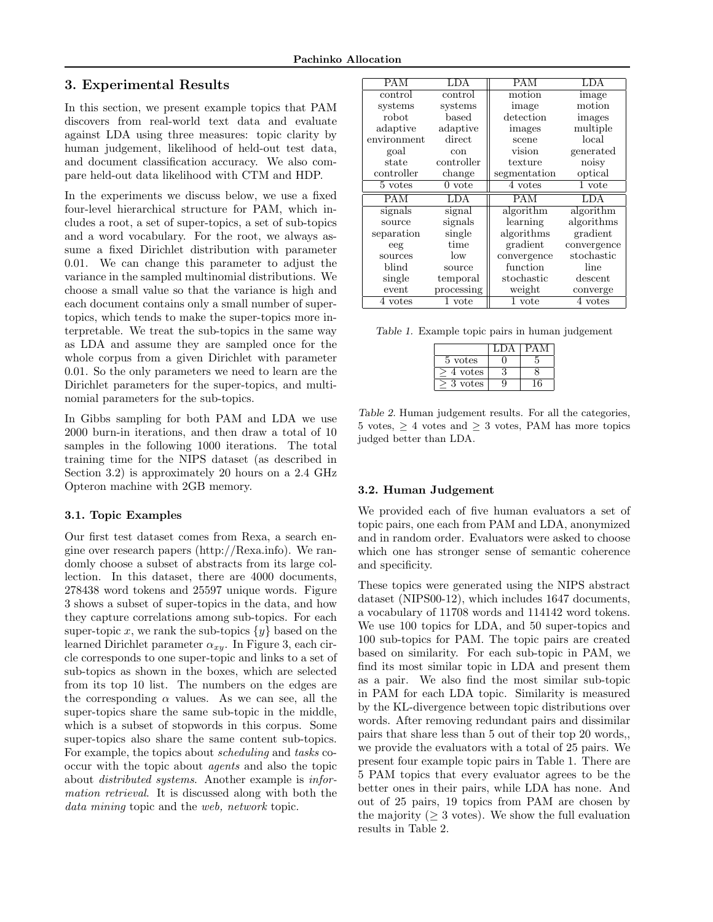## 3. Experimental Results

In this section, we present example topics that PAM discovers from real-world text data and evaluate against LDA using three measures: topic clarity by human judgement, likelihood of held-out test data, and document classification accuracy. We also compare held-out data likelihood with CTM and HDP.

In the experiments we discuss below, we use a fixed four-level hierarchical structure for PAM, which includes a root, a set of super-topics, a set of sub-topics and a word vocabulary. For the root, we always assume a fixed Dirichlet distribution with parameter 0.01. We can change this parameter to adjust the variance in the sampled multinomial distributions. We choose a small value so that the variance is high and each document contains only a small number of supertopics, which tends to make the super-topics more interpretable. We treat the sub-topics in the same way as LDA and assume they are sampled once for the whole corpus from a given Dirichlet with parameter 0.01. So the only parameters we need to learn are the Dirichlet parameters for the super-topics, and multinomial parameters for the sub-topics.

In Gibbs sampling for both PAM and LDA we use 2000 burn-in iterations, and then draw a total of 10 samples in the following 1000 iterations. The total training time for the NIPS dataset (as described in Section 3.2) is approximately 20 hours on a 2.4 GHz Opteron machine with 2GB memory.

## 3.1. Topic Examples

Our first test dataset comes from Rexa, a search engine over research papers (http://Rexa.info). We randomly choose a subset of abstracts from its large collection. In this dataset, there are 4000 documents, 278438 word tokens and 25597 unique words. Figure 3 shows a subset of super-topics in the data, and how they capture correlations among sub-topics. For each super-topic x, we rank the sub-topics  $\{y\}$  based on the learned Dirichlet parameter  $\alpha_{xy}$ . In Figure 3, each circle corresponds to one super-topic and links to a set of sub-topics as shown in the boxes, which are selected from its top 10 list. The numbers on the edges are the corresponding  $\alpha$  values. As we can see, all the super-topics share the same sub-topic in the middle, which is a subset of stopwords in this corpus. Some super-topics also share the same content sub-topics. For example, the topics about scheduling and tasks cooccur with the topic about agents and also the topic about distributed systems. Another example is information retrieval. It is discussed along with both the data mining topic and the web, network topic.

| <b>PAM</b>  | LDA               | <b>PAM</b>   | LDA         |  |
|-------------|-------------------|--------------|-------------|--|
| control     | control           | motion       | image       |  |
| systems     | systems           | image        | motion      |  |
| robot       | $_{\text{based}}$ | detection    | images      |  |
| adaptive    | adaptive          | images       | multiple    |  |
| environment | direct            | scene        | local       |  |
| goal        | con               | vision       | generated   |  |
| state       | controller        | texture      | noisy       |  |
| controller  | change            | segmentation | optical     |  |
| 5 votes     | $0$ vote          | 4 votes      | 1 vote      |  |
| <b>PAM</b>  | LDA               | <b>PAM</b>   | LDA         |  |
| signals     | signal            | algorithm    | algorithm   |  |
| source      | signals           | learning     | algorithms  |  |
| separation  | single            | algorithms   | gradient    |  |
| eeg         | time              | gradient     | convergence |  |
| sources     | low               | convergence  | stochastic  |  |
| blind       | source            | function     | line        |  |
| single      | temporal          | stochastic   | descent     |  |
| event       | processing        | weight       | converge    |  |
| 4 votes     | 1 vote            | 1 vote       | 4 votes     |  |

Table 1. Example topic pairs in human judgement

| 5 votes |   |
|---------|---|
| 4 votes |   |
| votes   | 6 |

Table 2. Human judgement results. For all the categories, 5 votes,  $\geq$  4 votes and  $\geq$  3 votes, PAM has more topics judged better than LDA.

#### 3.2. Human Judgement

We provided each of five human evaluators a set of topic pairs, one each from PAM and LDA, anonymized and in random order. Evaluators were asked to choose which one has stronger sense of semantic coherence and specificity.

These topics were generated using the NIPS abstract dataset (NIPS00-12), which includes 1647 documents, a vocabulary of 11708 words and 114142 word tokens. We use 100 topics for LDA, and 50 super-topics and 100 sub-topics for PAM. The topic pairs are created based on similarity. For each sub-topic in PAM, we find its most similar topic in LDA and present them as a pair. We also find the most similar sub-topic in PAM for each LDA topic. Similarity is measured by the KL-divergence between topic distributions over words. After removing redundant pairs and dissimilar pairs that share less than 5 out of their top 20 words,, we provide the evaluators with a total of 25 pairs. We present four example topic pairs in Table 1. There are 5 PAM topics that every evaluator agrees to be the better ones in their pairs, while LDA has none. And out of 25 pairs, 19 topics from PAM are chosen by the majority ( $> 3$  votes). We show the full evaluation results in Table 2.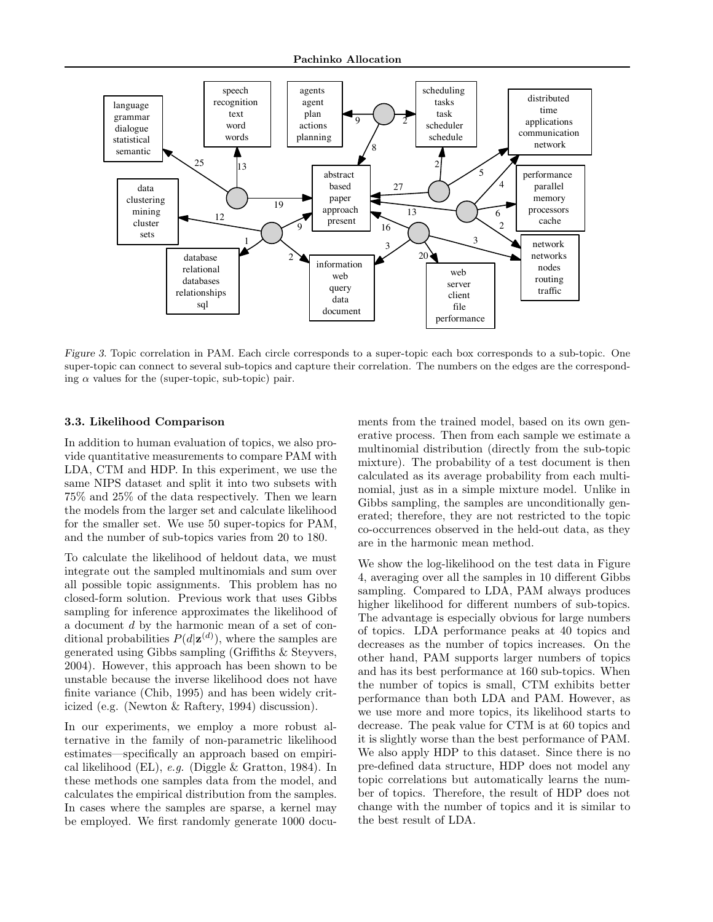Pachinko Allocation



Figure 3. Topic correlation in PAM. Each circle corresponds to a super-topic each box corresponds to a sub-topic. One super-topic can connect to several sub-topics and capture their correlation. The numbers on the edges are the corresponding  $\alpha$  values for the (super-topic, sub-topic) pair.

#### 3.3. Likelihood Comparison

In addition to human evaluation of topics, we also provide quantitative measurements to compare PAM with LDA, CTM and HDP. In this experiment, we use the same NIPS dataset and split it into two subsets with 75% and 25% of the data respectively. Then we learn the models from the larger set and calculate likelihood for the smaller set. We use 50 super-topics for PAM, and the number of sub-topics varies from 20 to 180.

To calculate the likelihood of heldout data, we must integrate out the sampled multinomials and sum over all possible topic assignments. This problem has no closed-form solution. Previous work that uses Gibbs sampling for inference approximates the likelihood of a document d by the harmonic mean of a set of conditional probabilities  $P(d|\mathbf{z}^{(d)})$ , where the samples are generated using Gibbs sampling (Griffiths & Steyvers, 2004). However, this approach has been shown to be unstable because the inverse likelihood does not have finite variance (Chib, 1995) and has been widely criticized (e.g. (Newton & Raftery, 1994) discussion).

In our experiments, we employ a more robust alternative in the family of non-parametric likelihood estimates—specifically an approach based on empirical likelihood (EL), e.g. (Diggle & Gratton, 1984). In these methods one samples data from the model, and calculates the empirical distribution from the samples. In cases where the samples are sparse, a kernel may be employed. We first randomly generate 1000 documents from the trained model, based on its own generative process. Then from each sample we estimate a multinomial distribution (directly from the sub-topic mixture). The probability of a test document is then calculated as its average probability from each multinomial, just as in a simple mixture model. Unlike in Gibbs sampling, the samples are unconditionally generated; therefore, they are not restricted to the topic co-occurrences observed in the held-out data, as they are in the harmonic mean method.

We show the log-likelihood on the test data in Figure 4, averaging over all the samples in 10 different Gibbs sampling. Compared to LDA, PAM always produces higher likelihood for different numbers of sub-topics. The advantage is especially obvious for large numbers of topics. LDA performance peaks at 40 topics and decreases as the number of topics increases. On the other hand, PAM supports larger numbers of topics and has its best performance at 160 sub-topics. When the number of topics is small, CTM exhibits better performance than both LDA and PAM. However, as we use more and more topics, its likelihood starts to decrease. The peak value for CTM is at 60 topics and it is slightly worse than the best performance of PAM. We also apply HDP to this dataset. Since there is no pre-defined data structure, HDP does not model any topic correlations but automatically learns the number of topics. Therefore, the result of HDP does not change with the number of topics and it is similar to the best result of LDA.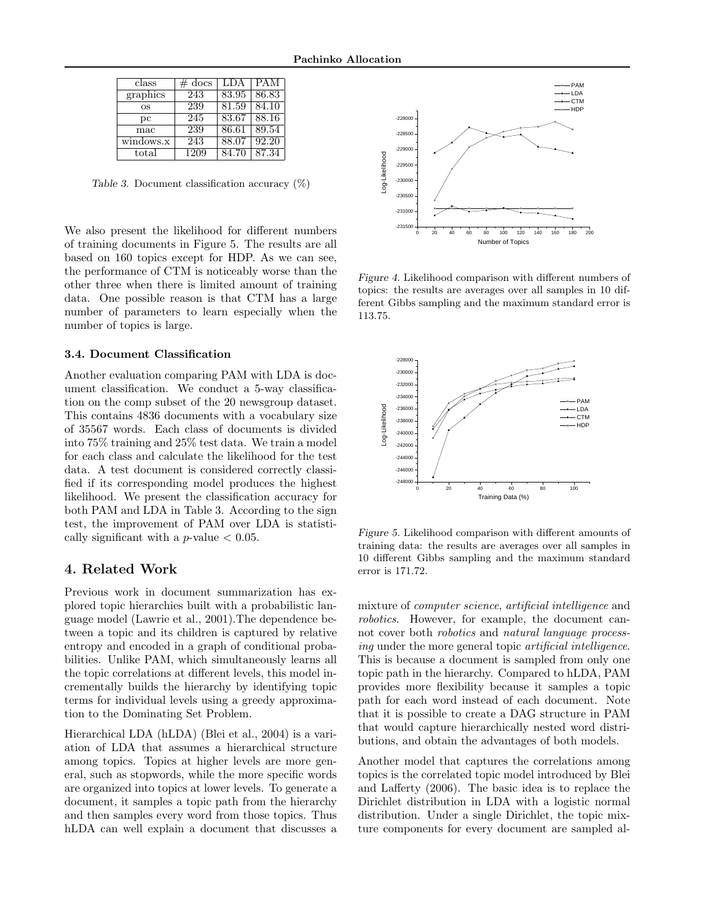| class     | $\#$ docs | <b>LDA</b> | <b>PAM</b> |
|-----------|-----------|------------|------------|
| graphics  | 243       | 83.95      | 86.83      |
| <b>OS</b> | 239       | 81.59      | 84.10      |
| pc        | 245       | 83.67      | 88.16      |
| mac       | 239       | 86.61      | 89.54      |
| windows.x | 243       | 88.07      | 92.20      |
| total     | 1209      | 84.70      | 87.34      |

Table 3. Document classification accuracy  $(\%)$ 

We also present the likelihood for different numbers of training documents in Figure 5. The results are all based on 160 topics except for HDP. As we can see, the performance of CTM is noticeably worse than the other three when there is limited amount of training data. One possible reason is that CTM has a large number of parameters to learn especially when the number of topics is large.

#### 3.4. Document Classification

Another evaluation comparing PAM with LDA is document classification. We conduct a 5-way classification on the comp subset of the 20 newsgroup dataset. This contains 4836 documents with a vocabulary size of 35567 words. Each class of documents is divided into 75% training and 25% test data. We train a model for each class and calculate the likelihood for the test data. A test document is considered correctly classified if its corresponding model produces the highest likelihood. We present the classification accuracy for both PAM and LDA in Table 3. According to the sign test, the improvement of PAM over LDA is statistically significant with a  $p$ -value  $< 0.05$ . Are not allowed to the interference of CNI is a document that disturbed in the interference of CNI is a set of the interference of CNI is a based on the three proportions and the proportions a single proportion as has a l

# 4. Related Work

Previous work in document summarization has explored topic hierarchies built with a probabilistic language model (Lawrie et al., 2001).The dependence between a topic and its children is captured by relative entropy and encoded in a graph of conditional probabilities. Unlike PAM, which simultaneously learns all the topic correlations at different levels, this model incrementally builds the hierarchy by identifying topic terms for individual levels using a greedy approximation to the Dominating Set Problem.

Hierarchical LDA (hLDA) (Blei et al., 2004) is a variation of LDA that assumes a hierarchical structure among topics. Topics at higher levels are more general, such as stopwords, while the more specific words are organized into topics at lower levels. To generate a document, it samples a topic path from the hierarchy and then samples every word from those topics. Thus



Figure 4. Likelihood comparison with different numbers of topics: the results are averages over all samples in 10 different Gibbs sampling and the maximum standard error is 113.75.



Figure 5. Likelihood comparison with different amounts of training data: the results are averages over all samples in 10 different Gibbs sampling and the maximum standard error is 171.72.

mixture of computer science, artificial intelligence and robotics. However, for example, the document cannot cover both robotics and natural language processing under the more general topic artificial intelligence. This is because a document is sampled from only one topic path in the hierarchy. Compared to hLDA, PAM provides more flexibility because it samples a topic path for each word instead of each document. Note that it is possible to create a DAG structure in PAM that would capture hierarchically nested word distributions, and obtain the advantages of both models.

Another model that captures the correlations among topics is the correlated topic model introduced by Blei and Lafferty (2006). The basic idea is to replace the Dirichlet distribution in LDA with a logistic normal distribution. Under a single Dirichlet, the topic mixture components for every document are sampled al